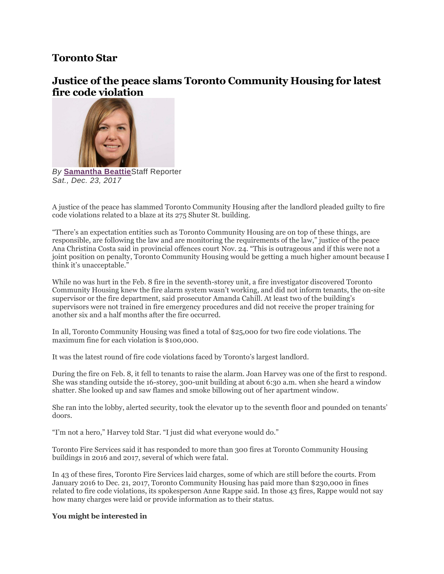## **Toronto Star**

# **Justice of the peace slams Toronto Community Housing for latest fire code violation**



*By* **[Samantha Beattie](https://www.thestar.com/authors.beattie_samantha.html)**Staff Reporter *Sat., Dec. 23, 2017*

A justice of the peace has slammed Toronto Community Housing after the landlord pleaded guilty to fire code violations related to a blaze at its 275 Shuter St. building.

"There's an expectation entities such as Toronto Community Housing are on top of these things, are responsible, are following the law and are monitoring the requirements of the law," justice of the peace Ana Christina Costa said in provincial offences court Nov. 24. "This is outrageous and if this were not a joint position on penalty, Toronto Community Housing would be getting a much higher amount because I think it's unacceptable."

While no was hurt in the Feb. 8 fire in the seventh-storey unit, a fire investigator discovered Toronto Community Housing knew the fire alarm system wasn't working, and did not inform tenants, the on-site supervisor or the fire department, said prosecutor Amanda Cahill. At least two of the building's supervisors were not trained in fire emergency procedures and did not receive the proper training for another six and a half months after the fire occurred.

In all, Toronto Community Housing was fined a total of \$25,000 for two fire code violations. The maximum fine for each violation is \$100,000.

It was the latest round of fire code violations faced by Toronto's largest landlord.

During the fire on Feb. 8, it fell to tenants to raise the alarm. Joan Harvey was one of the first to respond. She was standing outside the 16-storey, 300-unit building at about 6:30 a.m. when she heard a window shatter. She looked up and saw flames and smoke billowing out of her apartment window.

She ran into the lobby, alerted security, took the elevator up to the seventh floor and pounded on tenants' doors.

"I'm not a hero," Harvey told Star. "I just did what everyone would do."

Toronto Fire Services said it has responded to more than 300 fires at Toronto Community Housing buildings in 2016 and 2017, several of which were fatal.

In 43 of these fires, Toronto Fire Services laid charges, some of which are still before the courts. From January 2016 to Dec. 21, 2017, Toronto Community Housing has paid more than \$230,000 in fines related to fire code violations, its spokesperson Anne Rappe said. In those 43 fires, Rappe would not say how many charges were laid or provide information as to their status.

## **You might be interested in**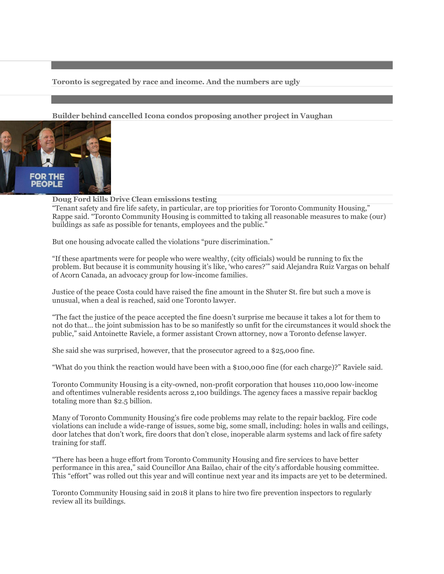## **[Toronto is segregated by race and income. And the numbers are ugly](https://www.thestar.com/news/gta/2018/09/30/toronto-is-segregated-by-race-and-income-and-the-numbers-are-ugly.html?li_source=LI&li_medium=star_web_ymbii)**

## **[Builder behind cancelled Icona condos proposing another project in Vaughan](https://www.thestar.com/business/2018/10/03/builder-behind-cancelled-icona-condos-proposing-another-project-in-vaughan.html?li_source=LI&li_medium=star_web_ymbii)**



#### **[Doug Ford kills Drive Clean emissions testing](https://www.thestar.com/news/queenspark/2018/09/27/premier-doug-ford-ending-drive-clean-plan.html?li_source=LI&li_medium=star_web_ymbii)**

"Tenant safety and fire life safety, in particular, are top priorities for Toronto Community Housing," Rappe said. "Toronto Community Housing is committed to taking all reasonable measures to make (our) buildings as safe as possible for tenants, employees and the public."

But one housing advocate called the violations "pure discrimination."

"If these apartments were for people who were wealthy, (city officials) would be running to fix the problem. But because it is community housing it's like, 'who cares?'" said Alejandra Ruiz Vargas on behalf of Acorn Canada, an advocacy group for low-income families.

Justice of the peace Costa could have raised the fine amount in the Shuter St. fire but such a move is unusual, when a deal is reached, said one Toronto lawyer.

"The fact the justice of the peace accepted the fine doesn't surprise me because it takes a lot for them to not do that… the joint submission has to be so manifestly so unfit for the circumstances it would shock the public," said Antoinette Raviele, a former assistant Crown attorney, now a Toronto defense lawyer.

She said she was surprised, however, that the prosecutor agreed to a \$25,000 fine.

"What do you think the reaction would have been with a \$100,000 fine (for each charge)?" Raviele said.

Toronto Community Housing is a city-owned, non-profit corporation that houses 110,000 low-income and oftentimes vulnerable residents across 2,100 buildings. The agency faces a massive repair backlog totaling more than \$2.5 billion.

Many of Toronto Community Housing's fire code problems may relate to the repair backlog. Fire code violations can include a wide-range of issues, some big, some small, including: holes in walls and ceilings, door latches that don't work, fire doors that don't close, inoperable alarm systems and lack of fire safety training for staff.

"There has been a huge effort from Toronto Community Housing and fire services to have better performance in this area," said Councillor Ana Bailao, chair of the city's affordable housing committee. This "effort" was rolled out this year and will continue next year and its impacts are yet to be determined.

Toronto Community Housing said in 2018 it plans to hire two fire prevention inspectors to regularly review all its buildings.